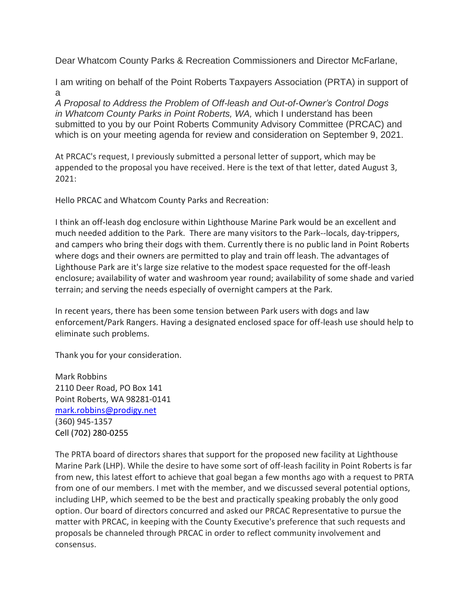Dear Whatcom County Parks & Recreation Commissioners and Director McFarlane,

I am writing on behalf of the Point Roberts Taxpayers Association (PRTA) in support of a

*A Proposal to Address the Problem of Off-leash and Out-of-Owner's Control Dogs in Whatcom County Parks in Point Roberts, WA,* which I understand has been submitted to you by our Point Roberts Community Advisory Committee (PRCAC) and which is on your meeting agenda for review and consideration on September 9, 2021.

At PRCAC's request, I previously submitted a personal letter of support, which may be appended to the proposal you have received. Here is the text of that letter, dated August 3, 2021:

Hello PRCAC and Whatcom County Parks and Recreation:

I think an off-leash dog enclosure within Lighthouse Marine Park would be an excellent and much needed addition to the Park. There are many visitors to the Park--locals, day-trippers, and campers who bring their dogs with them. Currently there is no public land in Point Roberts where dogs and their owners are permitted to play and train off leash. The advantages of Lighthouse Park are it's large size relative to the modest space requested for the off-leash enclosure; availability of water and washroom year round; availability of some shade and varied terrain; and serving the needs especially of overnight campers at the Park.

In recent years, there has been some tension between Park users with dogs and law enforcement/Park Rangers. Having a designated enclosed space for off-leash use should help to eliminate such problems.

Thank you for your consideration.

Mark Robbins 2110 Deer Road, PO Box 141 Point Roberts, WA 98281-0141 [mark.robbins@prodigy.net](mailto:mark.robbins@prodigy.net) (360) 945-1357 Cell (702) 280-0255

The PRTA board of directors shares that support for the proposed new facility at Lighthouse Marine Park (LHP). While the desire to have some sort of off-leash facility in Point Roberts is far from new, this latest effort to achieve that goal began a few months ago with a request to PRTA from one of our members. I met with the member, and we discussed several potential options, including LHP, which seemed to be the best and practically speaking probably the only good option. Our board of directors concurred and asked our PRCAC Representative to pursue the matter with PRCAC, in keeping with the County Executive's preference that such requests and proposals be channeled through PRCAC in order to reflect community involvement and consensus.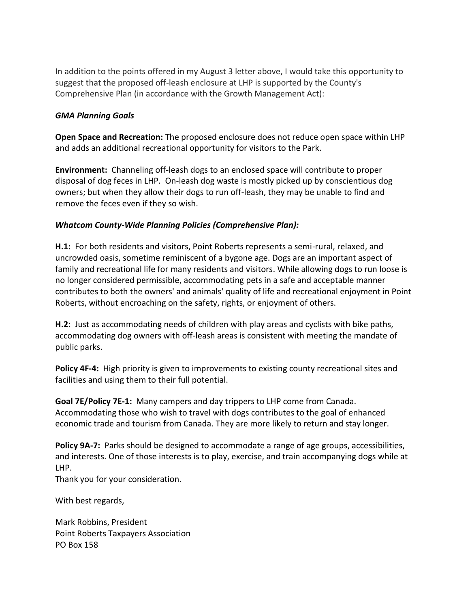In addition to the points offered in my August 3 letter above, I would take this opportunity to suggest that the proposed off-leash enclosure at LHP is supported by the County's Comprehensive Plan (in accordance with the Growth Management Act):

## *GMA Planning Goals*

**Open Space and Recreation:** The proposed enclosure does not reduce open space within LHP and adds an additional recreational opportunity for visitors to the Park.

**Environment:** Channeling off-leash dogs to an enclosed space will contribute to proper disposal of dog feces in LHP. On-leash dog waste is mostly picked up by conscientious dog owners; but when they allow their dogs to run off-leash, they may be unable to find and remove the feces even if they so wish.

## *Whatcom County-Wide Planning Policies (Comprehensive Plan):*

**H.1:** For both residents and visitors, Point Roberts represents a semi-rural, relaxed, and uncrowded oasis, sometime reminiscent of a bygone age. Dogs are an important aspect of family and recreational life for many residents and visitors. While allowing dogs to run loose is no longer considered permissible, accommodating pets in a safe and acceptable manner contributes to both the owners' and animals' quality of life and recreational enjoyment in Point Roberts, without encroaching on the safety, rights, or enjoyment of others.

**H.2:** Just as accommodating needs of children with play areas and cyclists with bike paths, accommodating dog owners with off-leash areas is consistent with meeting the mandate of public parks.

**Policy 4F-4:** High priority is given to improvements to existing county recreational sites and facilities and using them to their full potential.

**Goal 7E/Policy 7E-1:** Many campers and day trippers to LHP come from Canada. Accommodating those who wish to travel with dogs contributes to the goal of enhanced economic trade and tourism from Canada. They are more likely to return and stay longer.

**Policy 9A-7:** Parks should be designed to accommodate a range of age groups, accessibilities, and interests. One of those interests is to play, exercise, and train accompanying dogs while at LHP.

Thank you for your consideration.

With best regards,

Mark Robbins, President Point Roberts Taxpayers Association PO Box 158